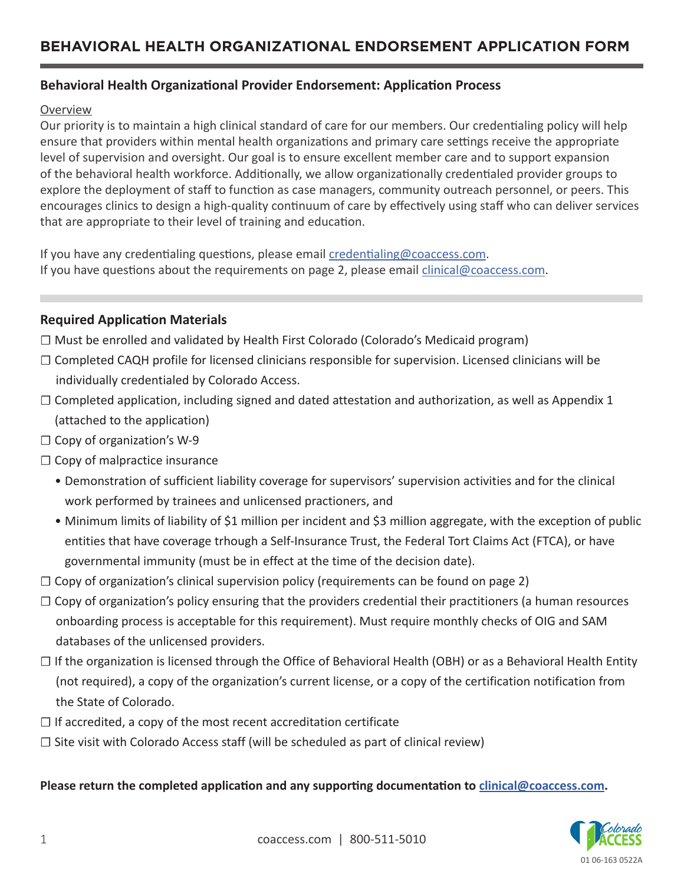## **Behavioral Health Organizational Provider Endorsement: Application Process**

#### Overview

Our priority is to maintain a high clinical standard of care for our members. Our credentialing policy will help ensure that providers within mental health organizations and primary care settings receive the appropriate level of supervision and oversight. Our goal is to ensure excellent member care and to support expansion of the behavioral health workforce. Additionally, we allow organizationally credentialed provider groups to explore the deployment of staff to function as case managers, community outreach personnel, or peers. This encourages clinics to design a high-quality continuum of care by effectively using staff who can deliver services that are appropriate to their level of training and education.

If you have any credentialing questions, please email [credentialing@coaccess.com](mailto:credentialing%40coaccess.com?subject=). If you have questions about the requirements on page 2, please email *[clinical@coaccess.com](mailto:clinical%40coaccess.com?subject=)*.

#### **Required Application Materials**

- ☐ Must be enrolled and validated by Health First Colorado (Colorado's Medicaid program)
- ☐ Completed CAQH profile for licensed clinicians responsible for supervision. Licensed clinicians will be individually credentialed by Colorado Access.
- $\Box$  Completed application, including signed and dated attestation and authorization, as well as Appendix 1 (attached to the application)
- $\Box$  Copy of organization's W-9
- □ Copy of malpractice insurance
	- Demonstration of sufficient liability coverage for supervisors' supervision activities and for the clinical work performed by trainees and unlicensed practioners, and
	- Minimum limits of liability of \$1 million per incident and \$3 million aggregate, with the exception of public entities that have coverage trhough a Self-Insurance Trust, the Federal Tort Claims Act (FTCA), or have governmental immunity (must be in effect at the time of the decision date).
- $\Box$  Copy of organization's clinical supervision policy (requirements can be found on page 2)
- □ Copy of organization's policy ensuring that the providers credential their practitioners (a human resources onboarding process is acceptable for this requirement). Must require monthly checks of OIG and SAM databases of the unlicensed providers.
- ☐ If the organization is licensed through the Office of Behavioral Health (OBH) or as a Behavioral Health Entity (not required), a copy of the organization's current license, or a copy of the certification notification from the State of Colorado.
- $\Box$  If accredited, a copy of the most recent accreditation certificate
- $\square$  Site visit with Colorado Access staff (will be scheduled as part of clinical review)

#### **Please return the completed application and any supporting documentation to [clinical@coaccess.com](mailto:clinical%40coaccess.com?subject=).**

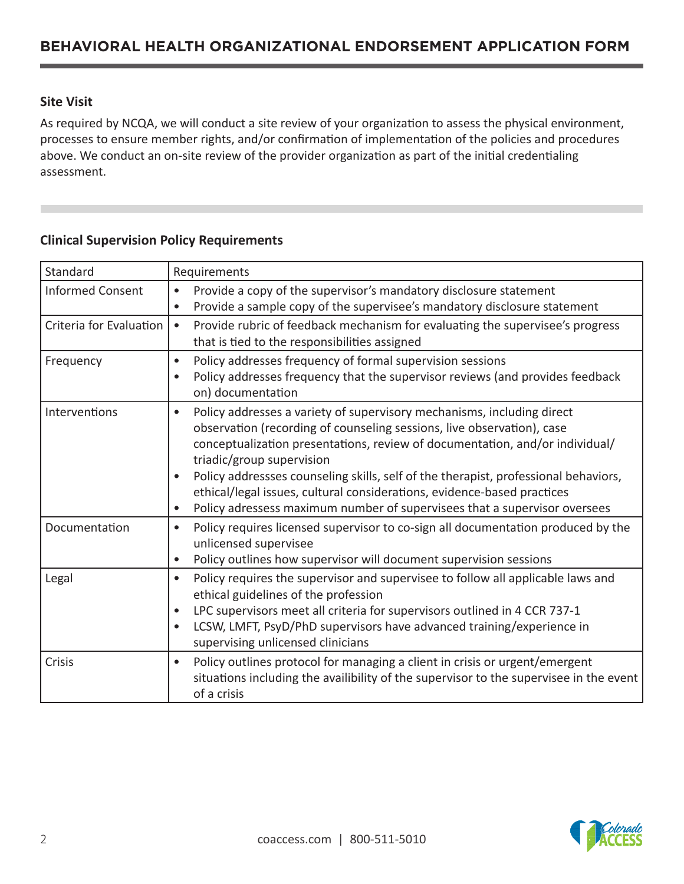## **Site Visit**

As required by NCQA, we will conduct a site review of your organization to assess the physical environment, processes to ensure member rights, and/or confirmation of implementation of the policies and procedures above. We conduct an on-site review of the provider organization as part of the initial credentialing assessment.

#### **Clinical Supervision Policy Requirements**

| Standard                | Requirements                                                                                                                                                                                                                                                                                                                                                                                                                                                                                                                           |  |  |
|-------------------------|----------------------------------------------------------------------------------------------------------------------------------------------------------------------------------------------------------------------------------------------------------------------------------------------------------------------------------------------------------------------------------------------------------------------------------------------------------------------------------------------------------------------------------------|--|--|
| <b>Informed Consent</b> | Provide a copy of the supervisor's mandatory disclosure statement<br>$\bullet$<br>Provide a sample copy of the supervisee's mandatory disclosure statement<br>$\bullet$                                                                                                                                                                                                                                                                                                                                                                |  |  |
| Criteria for Evaluation | Provide rubric of feedback mechanism for evaluating the supervisee's progress<br>$\bullet$<br>that is tied to the responsibilities assigned                                                                                                                                                                                                                                                                                                                                                                                            |  |  |
| Frequency               | Policy addresses frequency of formal supervision sessions<br>$\bullet$<br>Policy addresses frequency that the supervisor reviews (and provides feedback<br>$\bullet$<br>on) documentation                                                                                                                                                                                                                                                                                                                                              |  |  |
| Interventions           | Policy addresses a variety of supervisory mechanisms, including direct<br>$\bullet$<br>observation (recording of counseling sessions, live observation), case<br>conceptualization presentations, review of documentation, and/or individual/<br>triadic/group supervision<br>Policy addressses counseling skills, self of the therapist, professional behaviors,<br>ethical/legal issues, cultural considerations, evidence-based practices<br>Policy adressess maximum number of supervisees that a supervisor oversees<br>$\bullet$ |  |  |
| Documentation           | Policy requires licensed supervisor to co-sign all documentation produced by the<br>$\bullet$<br>unlicensed supervisee<br>Policy outlines how supervisor will document supervision sessions<br>$\bullet$                                                                                                                                                                                                                                                                                                                               |  |  |
| Legal                   | Policy requires the supervisor and supervisee to follow all applicable laws and<br>$\bullet$<br>ethical guidelines of the profession<br>LPC supervisors meet all criteria for supervisors outlined in 4 CCR 737-1<br>LCSW, LMFT, PsyD/PhD supervisors have advanced training/experience in<br>supervising unlicensed clinicians                                                                                                                                                                                                        |  |  |
| Crisis                  | Policy outlines protocol for managing a client in crisis or urgent/emergent<br>$\bullet$<br>situations including the availibility of the supervisor to the supervisee in the event<br>of a crisis                                                                                                                                                                                                                                                                                                                                      |  |  |

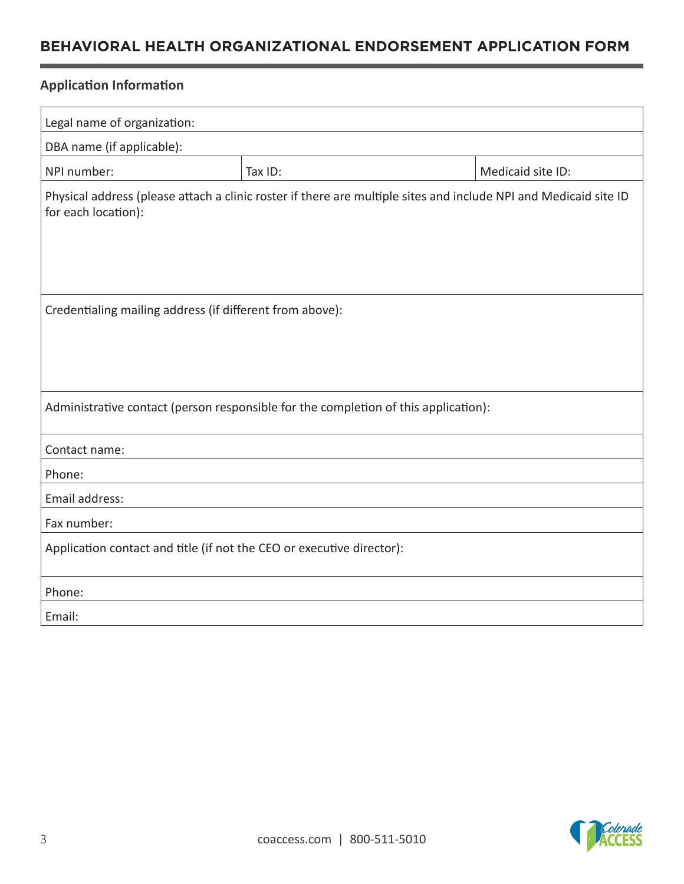# **BEHAVIORAL HEALTH ORGANIZATIONAL ENDORSEMENT APPLICATION FORM**

## **Application Information**

| Legal name of organization:                                                                                                             |         |                   |  |  |
|-----------------------------------------------------------------------------------------------------------------------------------------|---------|-------------------|--|--|
| DBA name (if applicable):                                                                                                               |         |                   |  |  |
| NPI number:                                                                                                                             | Tax ID: | Medicaid site ID: |  |  |
| Physical address (please attach a clinic roster if there are multiple sites and include NPI and Medicaid site ID<br>for each location): |         |                   |  |  |
| Credentialing mailing address (if different from above):                                                                                |         |                   |  |  |
| Administrative contact (person responsible for the completion of this application):                                                     |         |                   |  |  |
| Contact name:                                                                                                                           |         |                   |  |  |
| Phone:                                                                                                                                  |         |                   |  |  |
| Email address:                                                                                                                          |         |                   |  |  |
| Fax number:                                                                                                                             |         |                   |  |  |
| Application contact and title (if not the CEO or executive director):                                                                   |         |                   |  |  |
| Phone:                                                                                                                                  |         |                   |  |  |
| Email:                                                                                                                                  |         |                   |  |  |